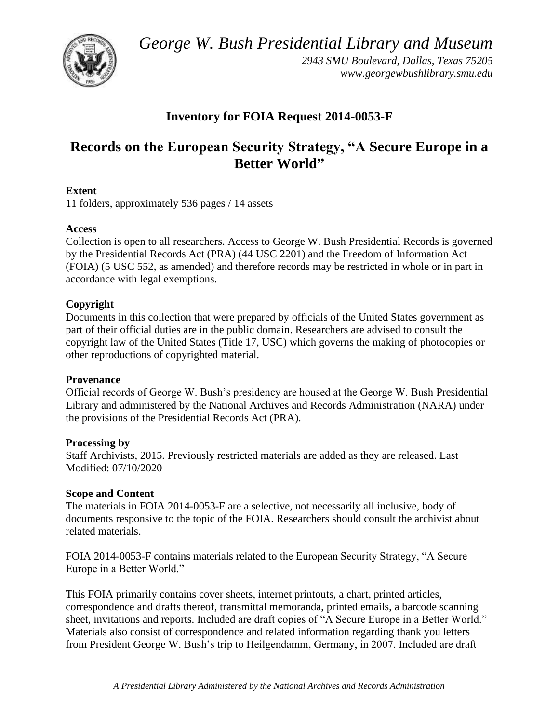*George W. Bush Presidential Library and Museum* 



*2943 SMU Boulevard, Dallas, Texas 75205 <www.georgewbushlibrary.smu.edu>*

## **Inventory for FOIA Request 2014-0053-F**

# **Records on the European Security Strategy, "A Secure Europe in a Better World"**

## **Extent**

11 folders, approximately 536 pages / 14 assets

#### **Access**

Collection is open to all researchers. Access to George W. Bush Presidential Records is governed by the Presidential Records Act (PRA) (44 USC 2201) and the Freedom of Information Act (FOIA) (5 USC 552, as amended) and therefore records may be restricted in whole or in part in accordance with legal exemptions.

## **Copyright**

Documents in this collection that were prepared by officials of the United States government as part of their official duties are in the public domain. Researchers are advised to consult the copyright law of the United States (Title 17, USC) which governs the making of photocopies or other reproductions of copyrighted material.

#### **Provenance**

 Official records of George W. Bush's presidency are housed at the George W. Bush Presidential Library and administered by the National Archives and Records Administration (NARA) under the provisions of the Presidential Records Act (PRA).

#### **Processing by**

Staff Archivists, 2015. Previously restricted materials are added as they are released. Last Modified: 07/10/2020

#### **Scope and Content**

The materials in FOIA 2014-0053-F are a selective, not necessarily all inclusive, body of documents responsive to the topic of the FOIA. Researchers should consult the archivist about related materials.

FOIA 2014-0053-F contains materials related to the European Security Strategy, "A Secure Europe in a Better World."

This FOIA primarily contains cover sheets, internet printouts, a chart, printed articles, correspondence and drafts thereof, transmittal memoranda, printed emails, a barcode scanning sheet, invitations and reports. Included are draft copies of "A Secure Europe in a Better World." Materials also consist of correspondence and related information regarding thank you letters from President George W. Bush's trip to Heilgendamm, Germany, in 2007. Included are draft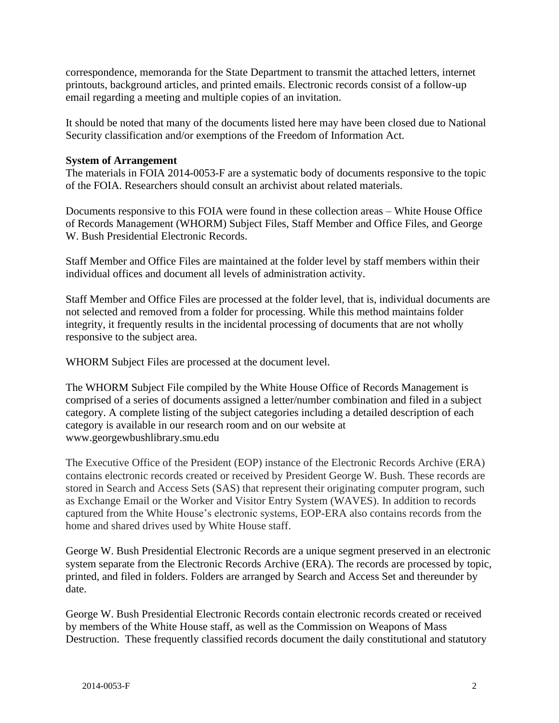correspondence, memoranda for the State Department to transmit the attached letters, internet printouts, background articles, and printed emails. Electronic records consist of a follow-up email regarding a meeting and multiple copies of an invitation.

It should be noted that many of the documents listed here may have been closed due to National Security classification and/or exemptions of the Freedom of Information Act.

#### **System of Arrangement**

 The materials in FOIA 2014-0053-F are a systematic body of documents responsive to the topic of the FOIA. Researchers should consult an archivist about related materials.

Documents responsive to this FOIA were found in these collection areas – White House Office of Records Management (WHORM) Subject Files, Staff Member and Office Files, and George W. Bush Presidential Electronic Records.

Staff Member and Office Files are maintained at the folder level by staff members within their individual offices and document all levels of administration activity.

Staff Member and Office Files are processed at the folder level, that is, individual documents are not selected and removed from a folder for processing. While this method maintains folder integrity, it frequently results in the incidental processing of documents that are not wholly responsive to the subject area.

WHORM Subject Files are processed at the document level.

The WHORM Subject File compiled by the White House Office of Records Management is comprised of a series of documents assigned a letter/number combination and filed in a subject category. A complete listing of the subject categories including a detailed description of each category is available in our research room and on our website at <www.georgewbushlibrary.smu.edu>

The Executive Office of the President (EOP) instance of the Electronic Records Archive (ERA) contains electronic records created or received by President George W. Bush. These records are stored in Search and Access Sets (SAS) that represent their originating computer program, such as Exchange Email or the Worker and Visitor Entry System (WAVES). In addition to records captured from the White House's electronic systems, EOP-ERA also contains records from the home and shared drives used by White House staff.

George W. Bush Presidential Electronic Records are a unique segment preserved in an electronic system separate from the Electronic Records Archive (ERA). The records are processed by topic, printed, and filed in folders. Folders are arranged by Search and Access Set and thereunder by date.

George W. Bush Presidential Electronic Records contain electronic records created or received by members of the White House staff, as well as the Commission on Weapons of Mass Destruction. These frequently classified records document the daily constitutional and statutory